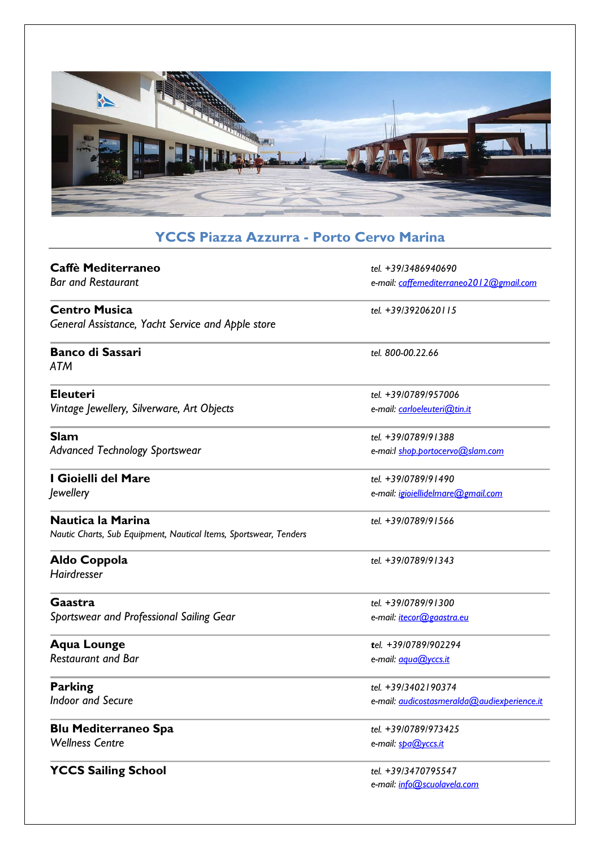

# **YCCS Piazza Azzurra - Porto Cervo Marina**

| Caffè Mediterraneo                                                                     | tel. +39/3486940690                         |
|----------------------------------------------------------------------------------------|---------------------------------------------|
| <b>Bar and Restaurant</b>                                                              | e-mail: caffemediterraneo2012@gmail.com     |
| <b>Centro Musica</b>                                                                   | tel. +39/3920620115                         |
| General Assistance, Yacht Service and Apple store                                      |                                             |
| <b>Banco di Sassari</b><br>ATM                                                         | tel. 800-00.22.66                           |
| <b>Eleuteri</b>                                                                        | tel. +39/0789/957006                        |
| Vintage Jewellery, Silverware, Art Objects                                             | e-mail: carloeleuteri@tin.it                |
| <b>Slam</b>                                                                            | tel. +39/0789/91388                         |
| <b>Advanced Technology Sportswear</b>                                                  | e-mai:l shop.portocervo@slam.com            |
| I Gioielli del Mare                                                                    | tel. +39/0789/91490                         |
| <i>Jewellery</i>                                                                       | e-mail: igioiellidelmare@gmail.com          |
| Nautica la Marina<br>Nautic Charts, Sub Equipment, Nautical Items, Sportswear, Tenders | tel. +39/0789/91566                         |
| Aldo Coppola<br><b>Hairdresser</b>                                                     | tel. +39/0789/91343                         |
| Gaastra                                                                                | tel. +39/0789/91300                         |
| Sportswear and Professional Sailing Gear                                               | e-mail: itecor@gaastra.eu                   |
| <b>Aqua Lounge</b>                                                                     | tel. +39/0789/902294                        |
| <b>Restaurant and Bar</b>                                                              | e-mail: <i>agua@yccs.it</i>                 |
| <b>Parking</b>                                                                         | tel. +39/3402190374                         |
| <b>Indoor and Secure</b>                                                               | e-mail: audicostasmeralda@audiexperience.it |
| <b>Blu Mediterraneo Spa</b>                                                            | tel. +39/0789/973425                        |
| <b>Wellness Centre</b>                                                                 | e-mail: spa@yccs.it                         |
| <b>YCCS Sailing School</b>                                                             | tel. +39/3470795547                         |
|                                                                                        | e-mail: info@scuolavela.com                 |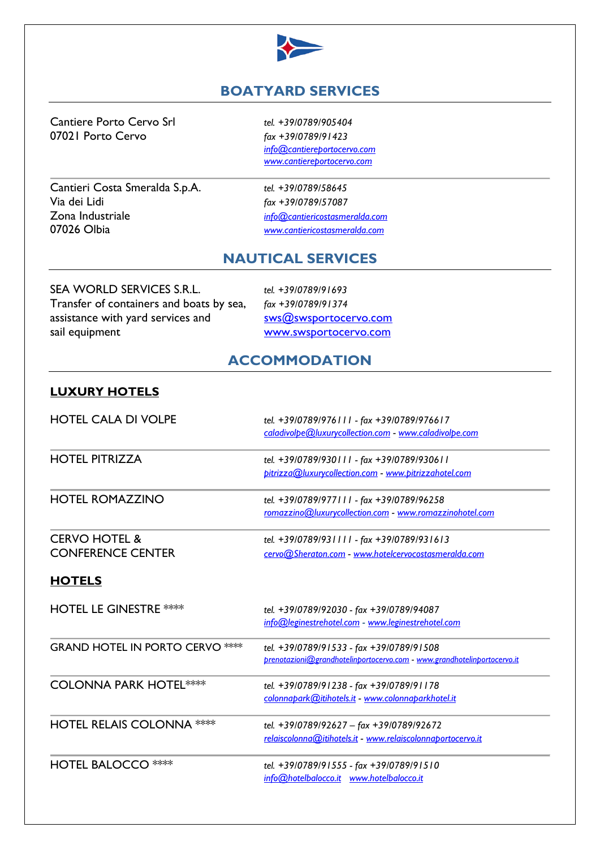

## **BOATYARD SERVICES**

Cantiere Porto Cervo Srl *tel. +39/0789/905404* 07021 Porto Cervo *fax +39/0789/91423*

Cantieri Costa Smeralda S.p.A. *tel. +39/0789/58645* Via dei Lidi *fax +39/0789/57087* Zona Industriale *[info@cantiericostasmeralda.com](mailto:info@cantiericostasmeralda.com)*

*[info@cantiereportocervo.com](mailto:info@cantiere.com) [www.cantiereportocervo.com](http://www.cantiereportocervo.com/)*

07026 Olbia *[www.cantiericostasmeralda.com](http://www.cantiericostasmeralda.com/)*

#### **NAUTICAL SERVICES**

SEA WORLD SERVICES S.R.L. *tel. +39/0789/91693* Transfer of containers and boats by sea, *fax +39/0789/91374* assistance with yard services and  $sws@swsportocervo.com$ sail equipment [www.swsportocervo.com](http://www.swsportocervo.com/)

#### **ACCOMMODATION**

#### **LUXURY HOTELS**

| <b>HOTEL CALA DI VOLPE</b>                           | tel. +39/0789/976111 - fax +39/0789/976617<br>caladivolpe@luxurycollection.com - www.caladivolpe.com                |
|------------------------------------------------------|---------------------------------------------------------------------------------------------------------------------|
| <b>HOTEL PITRIZZA</b>                                | tel. +39/0789/930111 - fax +39/0789/930611<br>pitrizza@luxurycollection.com - www.pitrizzahotel.com                 |
| <b>HOTEL ROMAZZINO</b>                               | tel. +39/0789/977111 - fax +39/0789/96258<br>romazzino@luxurycollection.com - www.romazzinohotel.com                |
| <b>CERVO HOTEL &amp;</b><br><b>CONFERENCE CENTER</b> | tel. +39/0789/931111 - fax +39/0789/931613<br>cervo@Sheraton.com - www.hotelcervocostasmeralda.com                  |
| <b>HOTELS</b>                                        |                                                                                                                     |
| <b>HOTEL LE GINESTRE ****</b>                        | tel. +39/0789/92030 - fax +39/0789/94087<br>info@leginestrehotel.com - www.leginestrehotel.com                      |
| <b>GRAND HOTEL IN PORTO CERVO ****</b>               | tel. +39/0789/91533 - fax +39/0789/91508<br>prenotazioni@grandhotelinportocervo.com - www.grandhotelinportocervo.it |
| <b>COLONNA PARK HOTEL****</b>                        | tel. +39/0789/91238 - fax +39/0789/91178<br>colonnapark@itihotels.it - www.colonnaparkhotel.it                      |
| <b>HOTEL RELAIS COLONNA ****</b>                     | tel. +39/0789/92627 - fax +39/0789/92672<br>relaiscolonna@itihotels.it - www.relaiscolonnaportocervo.it             |
| <b>HOTEL BALOCCO ****</b>                            | tel. +39/0789/91555 - fax +39/0789/91510<br>info@hotelbalocco.it www.hotelbalocco.it                                |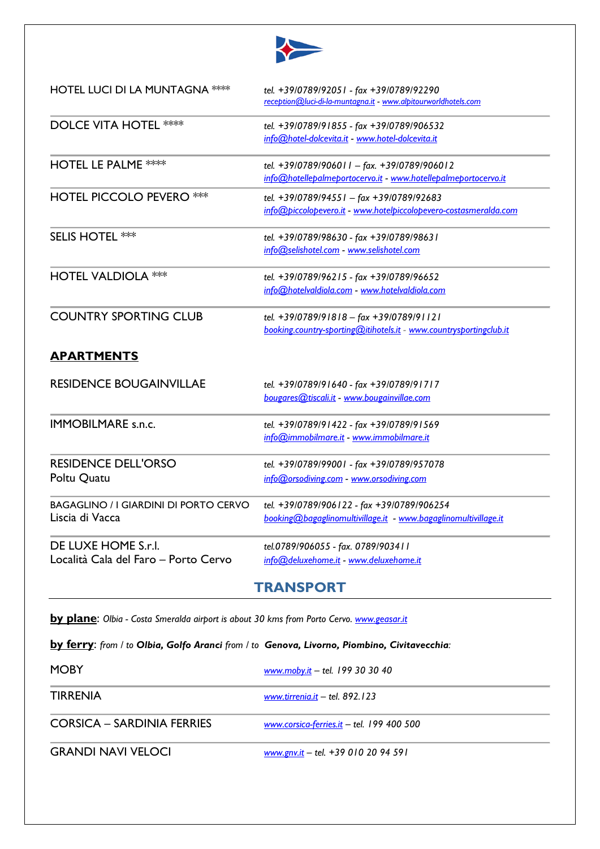

| <b>HOTEL LUCI DI LA MUNTAGNA ****</b>                           | tel. +39/0789/92051 - fax +39/0789/92290<br>reception@luci-di-la-muntagna.it - www.alpitourworldhotels.com     |
|-----------------------------------------------------------------|----------------------------------------------------------------------------------------------------------------|
| <b>DOLCE VITA HOTEL ****</b>                                    | tel. +39/0789/91855 - fax +39/0789/906532<br>info@hotel-dolcevita.it - www.hotel-dolcevita.it                  |
| <b>HOTEL LE PALME ****</b>                                      | tel. +39/0789/906011 - fax. +39/0789/906012<br>info@hotellepalmeportocervo.it - www.hotellepalmeportocervo.it  |
| <b>HOTEL PICCOLO PEVERO ***</b>                                 | tel. +39/0789/94551 - fax +39/0789/92683<br>info@piccolopevero.it - www.hotelpiccolopevero-costasmeralda.com   |
| <b>SELIS HOTEL ***</b>                                          | tel. +39/0789/98630 - fax +39/0789/98631<br>info@selishotel.com - www.selishotel.com                           |
| <b>HOTEL VALDIOLA ***</b>                                       | tel. +39/0789/96215 - fax +39/0789/96652<br>info@hotelvaldiola.com - www.hotelvaldiola.com                     |
| <b>COUNTRY SPORTING CLUB</b>                                    | tel. +39/0789/91818 - fax +39/0789/91121<br>booking.country-sporting@itihotels.it - www.countrysportingclub.it |
| <b>APARTMENTS</b>                                               |                                                                                                                |
| <b>RESIDENCE BOUGAINVILLAE</b>                                  | tel. +39/0789/91640 - fax +39/0789/91717<br>bougares@tiscali.it - www.bougainvillae.com                        |
| <b>IMMOBILMARE s.n.c.</b>                                       | tel. +39/0789/91422 - fax +39/0789/91569<br>info@immobilmare.it - www.immobilmare.it                           |
| <b>RESIDENCE DELL'ORSO</b><br>Poltu Quatu                       | tel. +39/0789/99001 - fax +39/0789/957078<br>info@orsodiving.com - www.orsodiving.com                          |
| <b>BAGAGLINO / I GIARDINI DI PORTO CERVO</b><br>Liscia di Vacca | tel. +39/0789/906122 - fax +39/0789/906254<br>booking@bagaglinomultivillage.it - www.bagaglinomultivillage.it  |
| DE LUXE HOME S.r.l.<br>Località Cala del Faro - Porto Cervo     | tel.0789/906055 - fax. 0789/903411<br>info@deluxehome.it - www.deluxehome.it                                   |

### **TRANSPORT**

**by plane**: *Olbia - Costa Smeralda airport is about 30 kms from Porto Cervo. [www.geasar.it](http://www.geasar.it/)*

**by ferry**: *from / to Olbia, Golfo Aranci from / to Genova, Livorno, Piombino, Civitavecchia:*

| <b>MOBY</b>                | www.moby.it - tel. 199 30 30 40           |
|----------------------------|-------------------------------------------|
| <b>TIRRENIA</b>            | www.tirrenia.it $-$ tel. 892.123          |
| CORSICA – SARDINIA FERRIES | www.corsica-ferries.it - tel. 199 400 500 |
| <b>GRANDI NAVI VELOCI</b>  | www.gnv.it - tel. +39 010 20 94 591       |